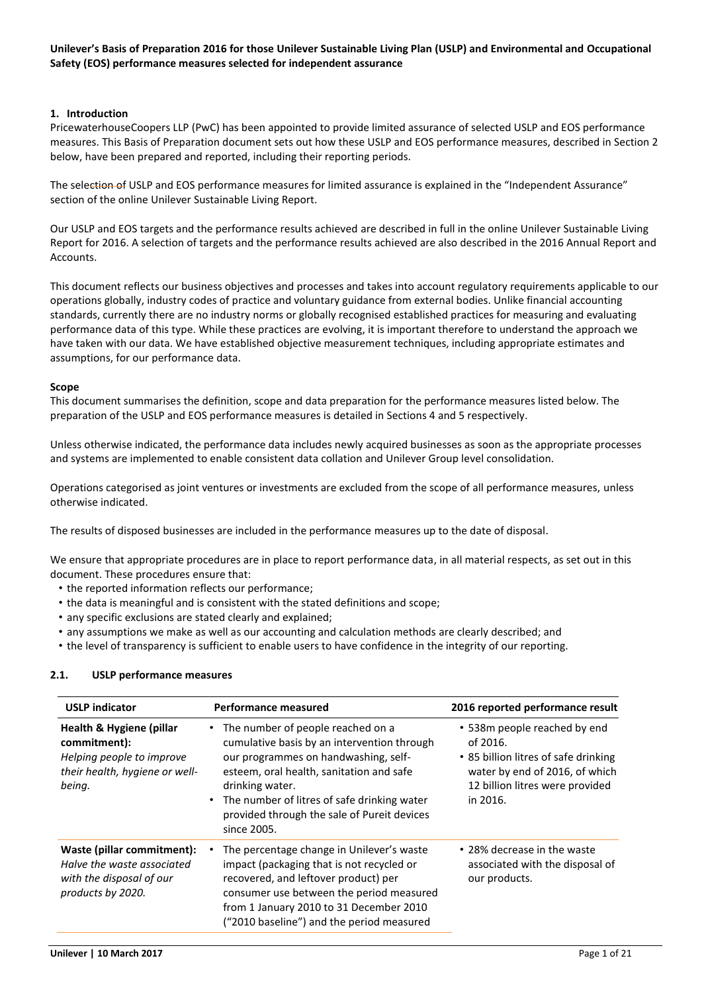### **1. Introduction**

PricewaterhouseCoopers LLP (PwC) has been appointed to provide limited assurance of selected USLP and EOS performance measures. This Basis of Preparation document sets out how these USLP and EOS performance measures, described in Section 2 below, have been prepared and reported, including their reporting periods.

The selection of USLP and EOS performance measures for limited assurance is explained in the "Independent Assurance" section of the online Unilever Sustainable Living Report.

Our USLP and EOS targets and the performance results achieved are described in full in the online Unilever Sustainable Living Report for 2016. A selection of targets and the performance results achieved are also described in the 2016 Annual Report and Accounts.

This document reflects our business objectives and processes and takes into account regulatory requirements applicable to our operations globally, industry codes of practice and voluntary guidance from external bodies. Unlike financial accounting standards, currently there are no industry norms or globally recognised established practices for measuring and evaluating performance data of this type. While these practices are evolving, it is important therefore to understand the approach we have taken with our data. We have established objective measurement techniques, including appropriate estimates and assumptions, for our performance data.

### **Scope**

This document summarises the definition, scope and data preparation for the performance measures listed below. The preparation of the USLP and EOS performance measures is detailed in Sections 4 and 5 respectively.

Unless otherwise indicated, the performance data includes newly acquired businesses as soon as the appropriate processes and systems are implemented to enable consistent data collation and Unilever Group level consolidation.

Operations categorised as joint ventures or investments are excluded from the scope of all performance measures, unless otherwise indicated.

The results of disposed businesses are included in the performance measures up to the date of disposal.

We ensure that appropriate procedures are in place to report performance data, in all material respects, as set out in this document. These procedures ensure that:

- the reported information reflects our performance;
- the data is meaningful and is consistent with the stated definitions and scope;
- any specific exclusions are stated clearly and explained;
- any assumptions we make as well as our accounting and calculation methods are clearly described; and
- the level of transparency is sufficient to enable users to have confidence in the integrity of our reporting.

### **2.1. USLP performance measures**

| <b>USLP indicator</b>                                                                                             | <b>Performance measured</b>                                                                                                                                                                                                                                                                              | 2016 reported performance result                                                                                                                                  |
|-------------------------------------------------------------------------------------------------------------------|----------------------------------------------------------------------------------------------------------------------------------------------------------------------------------------------------------------------------------------------------------------------------------------------------------|-------------------------------------------------------------------------------------------------------------------------------------------------------------------|
| Health & Hygiene (pillar<br>commitment):<br>Helping people to improve<br>their health, hygiene or well-<br>being. | • The number of people reached on a<br>cumulative basis by an intervention through<br>our programmes on handwashing, self-<br>esteem, oral health, sanitation and safe<br>drinking water.<br>• The number of litres of safe drinking water<br>provided through the sale of Pureit devices<br>since 2005. | • 538m people reached by end<br>of 2016.<br>• 85 billion litres of safe drinking<br>water by end of 2016, of which<br>12 billion litres were provided<br>in 2016. |
| Waste (pillar commitment):<br>Halve the waste associated<br>with the disposal of our<br>products by 2020.         | The percentage change in Unilever's waste<br>impact (packaging that is not recycled or<br>recovered, and leftover product) per<br>consumer use between the period measured<br>from 1 January 2010 to 31 December 2010<br>("2010 baseline") and the period measured                                       | • 28% decrease in the waste<br>associated with the disposal of<br>our products.                                                                                   |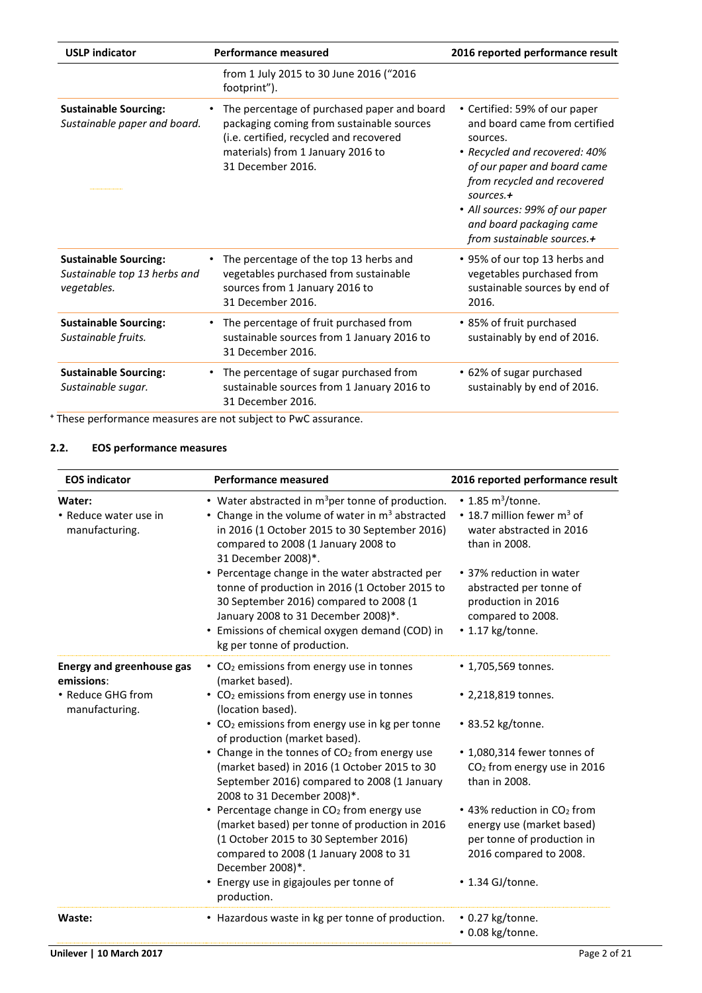| <b>USLP</b> indicator                                                       | <b>Performance measured</b>                                                                                                                                                                                | 2016 reported performance result                                                                                                                                                                                                                                                       |
|-----------------------------------------------------------------------------|------------------------------------------------------------------------------------------------------------------------------------------------------------------------------------------------------------|----------------------------------------------------------------------------------------------------------------------------------------------------------------------------------------------------------------------------------------------------------------------------------------|
|                                                                             | from 1 July 2015 to 30 June 2016 ("2016<br>footprint").                                                                                                                                                    |                                                                                                                                                                                                                                                                                        |
| <b>Sustainable Sourcing:</b><br>Sustainable paper and board.                | The percentage of purchased paper and board<br>$\bullet$<br>packaging coming from sustainable sources<br>(i.e. certified, recycled and recovered<br>materials) from 1 January 2016 to<br>31 December 2016. | • Certified: 59% of our paper<br>and board came from certified<br>sources.<br>• Recycled and recovered: 40%<br>of our paper and board came<br>from recycled and recovered<br>$sources. +$<br>• All sources: 99% of our paper<br>and board packaging came<br>from sustainable sources.+ |
| <b>Sustainable Sourcing:</b><br>Sustainable top 13 herbs and<br>vegetables. | The percentage of the top 13 herbs and<br>vegetables purchased from sustainable<br>sources from 1 January 2016 to<br>31 December 2016.                                                                     | • 95% of our top 13 herbs and<br>vegetables purchased from<br>sustainable sources by end of<br>2016.                                                                                                                                                                                   |
| <b>Sustainable Sourcing:</b><br>Sustainable fruits.                         | The percentage of fruit purchased from<br>$\bullet$<br>sustainable sources from 1 January 2016 to<br>31 December 2016.                                                                                     | • 85% of fruit purchased<br>sustainably by end of 2016.                                                                                                                                                                                                                                |
| <b>Sustainable Sourcing:</b><br>Sustainable sugar.                          | The percentage of sugar purchased from<br>$\bullet$<br>sustainable sources from 1 January 2016 to<br>31 December 2016.                                                                                     | • 62% of sugar purchased<br>sustainably by end of 2016.                                                                                                                                                                                                                                |
|                                                                             |                                                                                                                                                                                                            |                                                                                                                                                                                                                                                                                        |

**<sup>+</sup>** These performance measures are not subject to PwC assurance.

# **2.2. EOS performance measures**

| <b>Performance measured</b>                                                                                                                                                                                                                                                                                                                                                                                                                                                                                                                                   | 2016 reported performance result                                                                                                                                                                                                              |
|---------------------------------------------------------------------------------------------------------------------------------------------------------------------------------------------------------------------------------------------------------------------------------------------------------------------------------------------------------------------------------------------------------------------------------------------------------------------------------------------------------------------------------------------------------------|-----------------------------------------------------------------------------------------------------------------------------------------------------------------------------------------------------------------------------------------------|
| • Water abstracted in $m^3$ per tonne of production.<br>• Change in the volume of water in $m3$ abstracted<br>in 2016 (1 October 2015 to 30 September 2016)<br>compared to 2008 (1 January 2008 to<br>31 December 2008)*.<br>• Percentage change in the water abstracted per<br>tonne of production in 2016 (1 October 2015 to<br>30 September 2016) compared to 2008 (1<br>January 2008 to 31 December 2008)*.<br>• Emissions of chemical oxygen demand (COD) in<br>kg per tonne of production.                                                              | $\cdot$ 1.85 m <sup>3</sup> /tonne.<br>• 18.7 million fewer $m^3$ of<br>water abstracted in 2016<br>than in 2008.<br>• 37% reduction in water<br>abstracted per tonne of<br>production in 2016<br>compared to 2008.<br>$\cdot$ 1.17 kg/tonne. |
| • CO <sub>2</sub> emissions from energy use in tonnes<br>(market based).<br>• CO <sub>2</sub> emissions from energy use in tonnes<br>(location based).<br>• CO <sub>2</sub> emissions from energy use in kg per tonne<br>of production (market based).<br>• Change in the tonnes of CO <sub>2</sub> from energy use<br>(market based) in 2016 (1 October 2015 to 30<br>September 2016) compared to 2008 (1 January<br>2008 to 31 December 2008)*.<br>• Percentage change in CO <sub>2</sub> from energy use<br>(market based) per tonne of production in 2016 | • 1,705,569 tonnes.<br>• 2,218,819 tonnes.<br>• 83.52 kg/tonne.<br>• 1,080,314 fewer tonnes of<br>CO <sub>2</sub> from energy use in 2016<br>than in 2008.<br>• 43% reduction in CO <sub>2</sub> from<br>energy use (market based)            |
| (1 October 2015 to 30 September 2016)<br>compared to 2008 (1 January 2008 to 31<br>December 2008)*.<br>Energy use in gigajoules per tonne of<br>٠<br>production.<br>• Hazardous waste in kg per tonne of production.                                                                                                                                                                                                                                                                                                                                          | per tonne of production in<br>2016 compared to 2008.<br>• 1.34 GJ/tonne.<br>$\cdot$ 0.27 kg/tonne.<br>• 0.08 kg/tonne.                                                                                                                        |
|                                                                                                                                                                                                                                                                                                                                                                                                                                                                                                                                                               |                                                                                                                                                                                                                                               |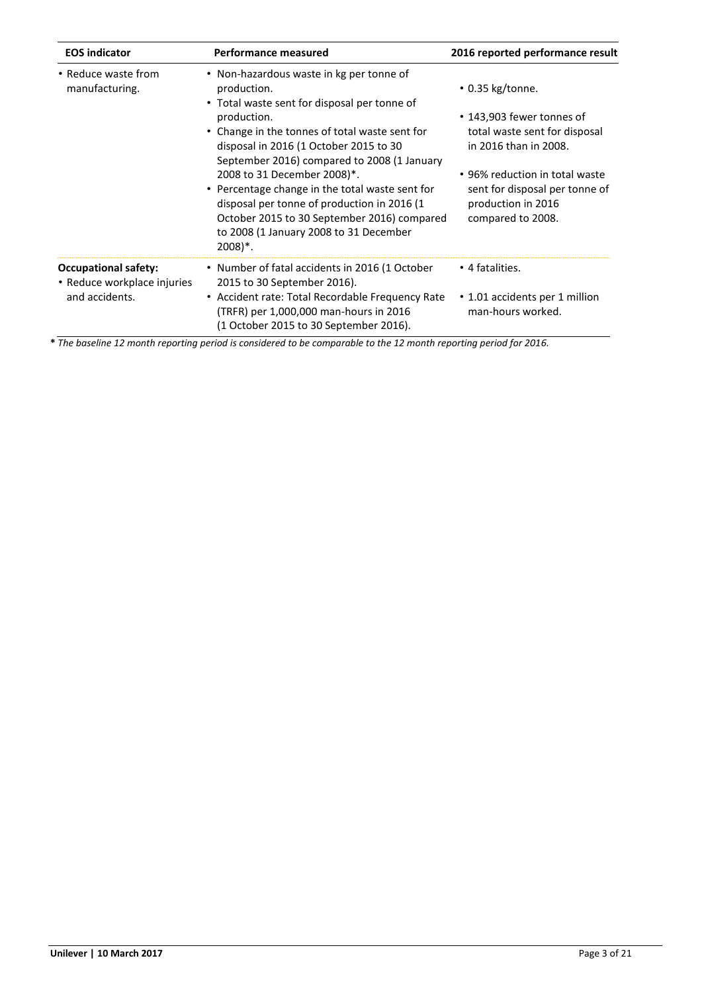| <b>EOS indicator</b>                                                         | Performance measured                                                                                                                                                                                                              | 2016 reported performance result                                                                            |
|------------------------------------------------------------------------------|-----------------------------------------------------------------------------------------------------------------------------------------------------------------------------------------------------------------------------------|-------------------------------------------------------------------------------------------------------------|
| • Reduce waste from<br>manufacturing.                                        | • Non-hazardous waste in kg per tonne of<br>production.<br>• Total waste sent for disposal per tonne of                                                                                                                           | $\cdot$ 0.35 kg/tonne.                                                                                      |
|                                                                              | production.<br>• Change in the tonnes of total waste sent for<br>disposal in 2016 (1 October 2015 to 30<br>September 2016) compared to 2008 (1 January                                                                            | • 143,903 fewer tonnes of<br>total waste sent for disposal<br>in 2016 than in 2008.                         |
|                                                                              | 2008 to 31 December 2008)*.<br>• Percentage change in the total waste sent for<br>disposal per tonne of production in 2016 (1<br>October 2015 to 30 September 2016) compared<br>to 2008 (1 January 2008 to 31 December<br>2008)*. | • 96% reduction in total waste<br>sent for disposal per tonne of<br>production in 2016<br>compared to 2008. |
| <b>Occupational safety:</b><br>• Reduce workplace injuries<br>and accidents. | • Number of fatal accidents in 2016 (1 October<br>2015 to 30 September 2016).                                                                                                                                                     | • 4 fatalities.                                                                                             |
|                                                                              | • Accident rate: Total Recordable Frequency Rate<br>(TRFR) per 1,000,000 man-hours in 2016<br>(1 October 2015 to 30 September 2016).                                                                                              | • 1.01 accidents per 1 million<br>man-hours worked.                                                         |

**\*** *The baseline 12 month reporting period is considered to be comparable to the 12 month reporting period for 2016.*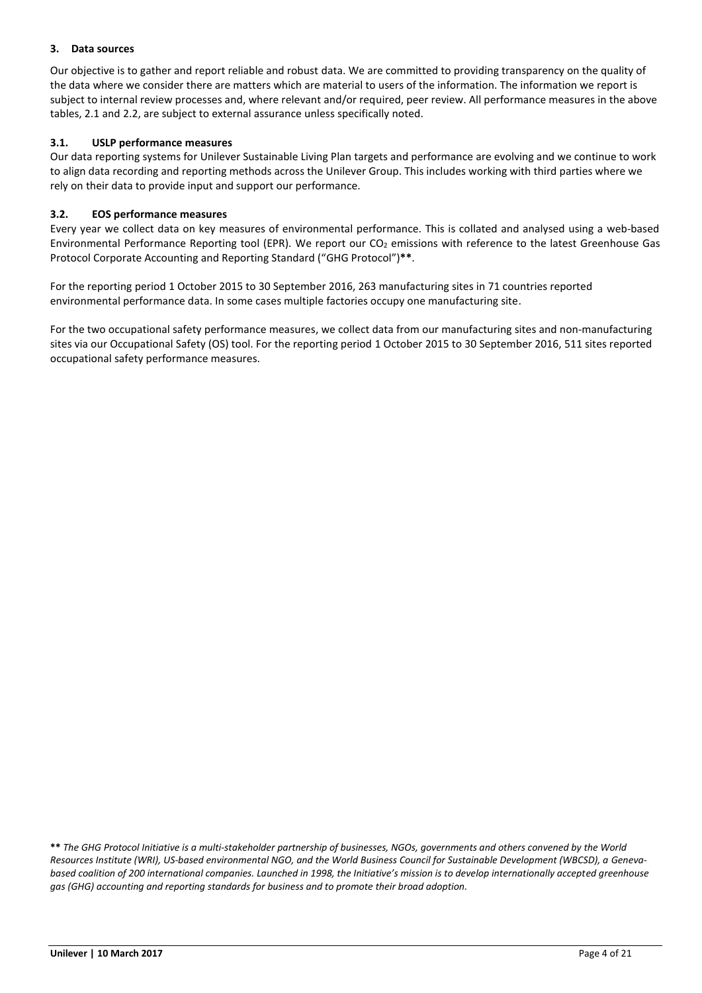# **3. Data sources**

Our objective is to gather and report reliable and robust data. We are committed to providing transparency on the quality of the data where we consider there are matters which are material to users of the information. The information we report is subject to internal review processes and, where relevant and/or required, peer review. All performance measures in the above tables, 2.1 and 2.2, are subject to external assurance unless specifically noted.

# **3.1. USLP performance measures**

Our data reporting systems for Unilever Sustainable Living Plan targets and performance are evolving and we continue to work to align data recording and reporting methods across the Unilever Group. This includes working with third parties where we rely on their data to provide input and support our performance.

# **3.2. EOS performance measures**

Every year we collect data on key measures of environmental performance. This is collated and analysed using a web‐based Environmental Performance Reporting tool (EPR). We report our  $CO<sub>2</sub>$  emissions with reference to the latest Greenhouse Gas Protocol Corporate Accounting and Reporting Standard ("GHG Protocol")**\*\***.

For the reporting period 1 October 2015 to 30 September 2016, 263 manufacturing sites in 71 countries reported environmental performance data. In some cases multiple factories occupy one manufacturing site.

For the two occupational safety performance measures, we collect data from our manufacturing sites and non-manufacturing sites via our Occupational Safety (OS) tool. For the reporting period 1 October 2015 to 30 September 2016, 511 sites reported occupational safety performance measures.

**\*\*** *The GHG Protocol Initiative is a multi‐stakeholder partnership of businesses, NGOs, governments and others convened by the World Resources Institute (WRI), US‐based environmental NGO, and the World Business Council for Sustainable Development (WBCSD), a Geneva‐ based coalition of 200 international companies. Launched in 1998, the Initiative's mission is to develop internationally accepted greenhouse gas (GHG) accounting and reporting standards for business and to promote their broad adoption.*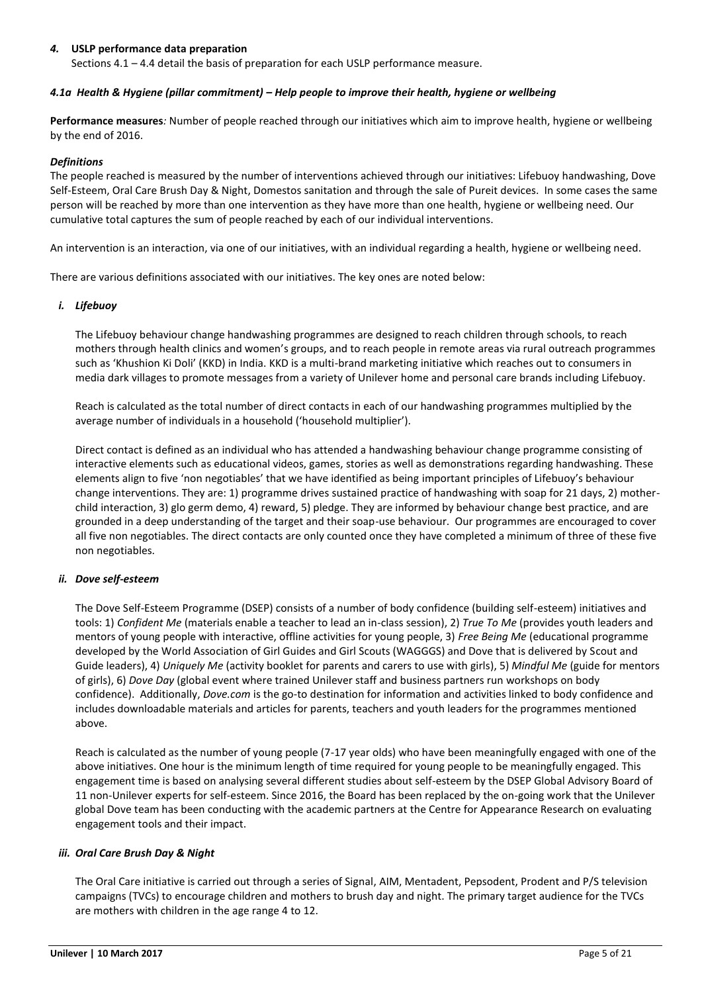### *4.* **USLP performance data preparation**

Sections 4.1 – 4.4 detail the basis of preparation for each USLP performance measure.

#### *4.1a Health & Hygiene (pillar commitment) – Help people to improve their health, hygiene or wellbeing*

**Performance measures***:* Number of people reached through our initiatives which aim to improve health, hygiene or wellbeing by the end of 2016.

#### *Definitions*

The people reached is measured by the number of interventions achieved through our initiatives: Lifebuoy handwashing, Dove Self-Esteem, Oral Care Brush Day & Night, Domestos sanitation and through the sale of Pureit devices. In some cases the same person will be reached by more than one intervention as they have more than one health, hygiene or wellbeing need. Our cumulative total captures the sum of people reached by each of our individual interventions.

An intervention is an interaction, via one of our initiatives, with an individual regarding a health, hygiene or wellbeing need.

There are various definitions associated with our initiatives. The key ones are noted below:

#### *i. Lifebuoy*

The Lifebuoy behaviour change handwashing programmes are designed to reach children through schools, to reach mothers through health clinics and women's groups, and to reach people in remote areas via rural outreach programmes such as 'Khushion Ki Doli' (KKD) in India. KKD is a multi-brand marketing initiative which reaches out to consumers in media dark villages to promote messages from a variety of Unilever home and personal care brands including Lifebuoy.

Reach is calculated as the total number of direct contacts in each of our handwashing programmes multiplied by the average number of individuals in a household ('household multiplier').

Direct contact is defined as an individual who has attended a handwashing behaviour change programme consisting of interactive elements such as educational videos, games, stories as well as demonstrations regarding handwashing. These elements align to five 'non negotiables' that we have identified as being important principles of Lifebuoy's behaviour change interventions. They are: 1) programme drives sustained practice of handwashing with soap for 21 days, 2) motherchild interaction, 3) glo germ demo, 4) reward, 5) pledge. They are informed by behaviour change best practice, and are grounded in a deep understanding of the target and their soap-use behaviour. Our programmes are encouraged to cover all five non negotiables. The direct contacts are only counted once they have completed a minimum of three of these five non negotiables.

### *ii. Dove self-esteem*

The Dove Self-Esteem Programme (DSEP) consists of a number of body confidence (building self-esteem) initiatives and tools: 1) *Confident Me* (materials enable a teacher to lead an in-class session), 2) *True To Me* (provides youth leaders and mentors of young people with interactive, offline activities for young people, 3) *Free Being Me* (educational programme developed by the World Association of Girl Guides and Girl Scouts (WAGGGS) and Dove that is delivered by Scout and Guide leaders), 4) *Uniquely Me* (activity booklet for parents and carers to use with girls), 5) *Mindful Me* (guide for mentors of girls), 6) *Dove Day* (global event where trained Unilever staff and business partners run workshops on body confidence). Additionally, *Dove.com* is the go-to destination for information and activities linked to body confidence and includes downloadable materials and articles for parents, teachers and youth leaders for the programmes mentioned above.

Reach is calculated as the number of young people (7-17 year olds) who have been meaningfully engaged with one of the above initiatives. One hour is the minimum length of time required for young people to be meaningfully engaged. This engagement time is based on analysing several different studies about self-esteem by the DSEP Global Advisory Board of 11 non-Unilever experts for self-esteem. Since 2016, the Board has been replaced by the on-going work that the Unilever global Dove team has been conducting with the academic partners at the Centre for Appearance Research on evaluating engagement tools and their impact.

#### *iii. Oral Care Brush Day & Night*

The Oral Care initiative is carried out through a series of Signal, AIM, Mentadent, Pepsodent, Prodent and P/S television campaigns (TVCs) to encourage children and mothers to brush day and night. The primary target audience for the TVCs are mothers with children in the age range 4 to 12.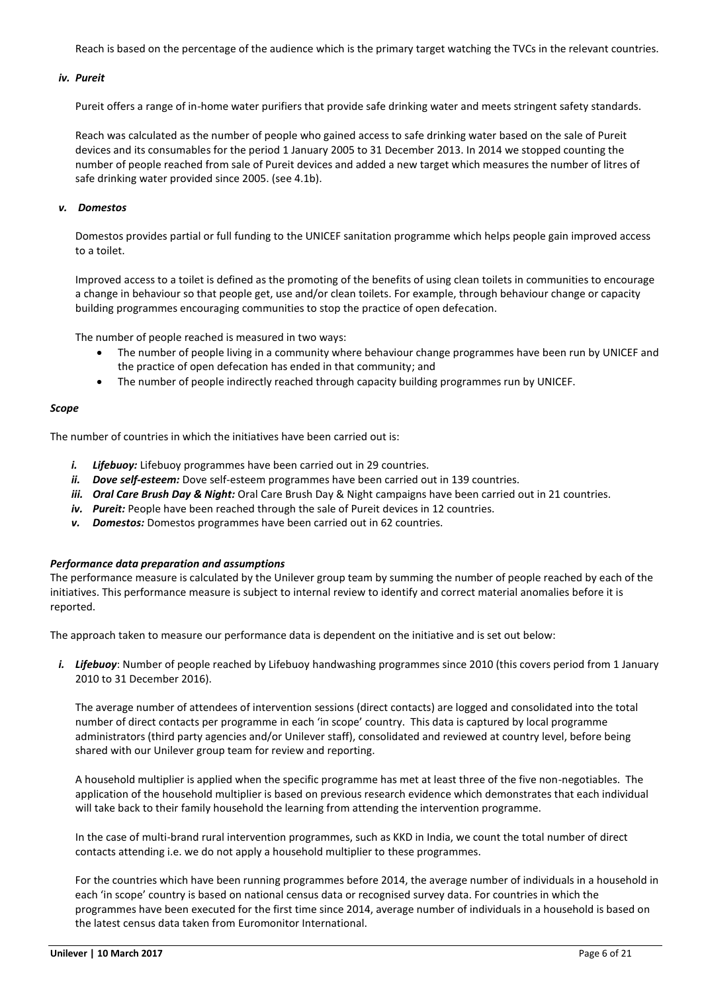Reach is based on the percentage of the audience which is the primary target watching the TVCs in the relevant countries.

#### *iv. Pureit*

Pureit offers a range of in-home water purifiers that provide safe drinking water and meets stringent safety standards.

Reach was calculated as the number of people who gained access to safe drinking water based on the sale of Pureit devices and its consumables for the period 1 January 2005 to 31 December 2013. In 2014 we stopped counting the number of people reached from sale of Pureit devices and added a new target which measures the number of litres of safe drinking water provided since 2005. (see 4.1b).

#### *v. Domestos*

Domestos provides partial or full funding to the UNICEF sanitation programme which helps people gain improved access to a toilet.

Improved access to a toilet is defined as the promoting of the benefits of using clean toilets in communities to encourage a change in behaviour so that people get, use and/or clean toilets. For example, through behaviour change or capacity building programmes encouraging communities to stop the practice of open defecation.

The number of people reached is measured in two ways:

- The number of people living in a community where behaviour change programmes have been run by UNICEF and the practice of open defecation has ended in that community; and
- The number of people indirectly reached through capacity building programmes run by UNICEF.

#### *Scope*

The number of countries in which the initiatives have been carried out is:

- *i. Lifebuoy:* Lifebuoy programmes have been carried out in 29 countries.
- *ii. Dove self-esteem:* Dove self-esteem programmes have been carried out in 139 countries.
- *iii. Oral Care Brush Day & Night:* Oral Care Brush Day & Night campaigns have been carried out in 21 countries.
- *iv. Pureit:* People have been reached through the sale of Pureit devices in 12 countries.
- *v. Domestos:* Domestos programmes have been carried out in 62 countries.

#### *Performance data preparation and assumptions*

The performance measure is calculated by the Unilever group team by summing the number of people reached by each of the initiatives. This performance measure is subject to internal review to identify and correct material anomalies before it is reported.

The approach taken to measure our performance data is dependent on the initiative and is set out below:

*i. Lifebuoy*: Number of people reached by Lifebuoy handwashing programmes since 2010 (this covers period from 1 January 2010 to 31 December 2016).

The average number of attendees of intervention sessions (direct contacts) are logged and consolidated into the total number of direct contacts per programme in each 'in scope' country. This data is captured by local programme administrators (third party agencies and/or Unilever staff), consolidated and reviewed at country level, before being shared with our Unilever group team for review and reporting.

A household multiplier is applied when the specific programme has met at least three of the five non-negotiables. The application of the household multiplier is based on previous research evidence which demonstrates that each individual will take back to their family household the learning from attending the intervention programme.

In the case of multi-brand rural intervention programmes, such as KKD in India, we count the total number of direct contacts attending i.e. we do not apply a household multiplier to these programmes.

For the countries which have been running programmes before 2014, the average number of individuals in a household in each 'in scope' country is based on national census data or recognised survey data. For countries in which the programmes have been executed for the first time since 2014, average number of individuals in a household is based on the latest census data taken from Euromonitor International.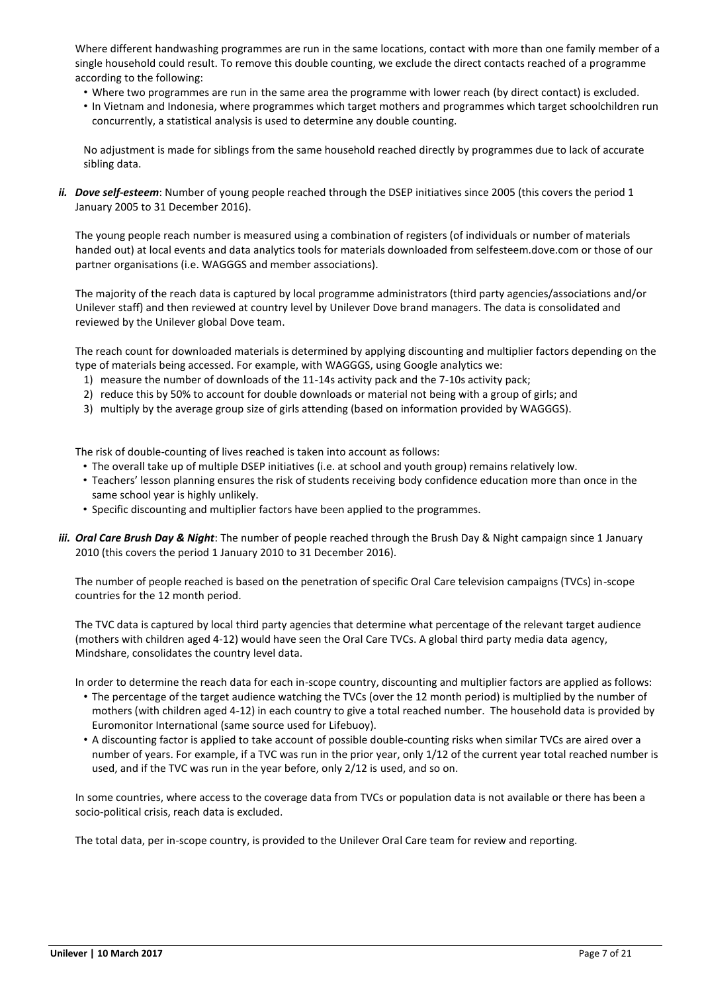Where different handwashing programmes are run in the same locations, contact with more than one family member of a single household could result. To remove this double counting, we exclude the direct contacts reached of a programme according to the following:

- Where two programmes are run in the same area the programme with lower reach (by direct contact) is excluded.
- In Vietnam and Indonesia, where programmes which target mothers and programmes which target schoolchildren run concurrently, a statistical analysis is used to determine any double counting.

No adjustment is made for siblings from the same household reached directly by programmes due to lack of accurate sibling data.

*ii. Dove self-esteem*: Number of young people reached through the DSEP initiatives since 2005 (this covers the period 1 January 2005 to 31 December 2016).

The young people reach number is measured using a combination of registers (of individuals or number of materials handed out) at local events and data analytics tools for materials downloaded from selfesteem.dove.com or those of our partner organisations (i.e. WAGGGS and member associations).

The majority of the reach data is captured by local programme administrators (third party agencies/associations and/or Unilever staff) and then reviewed at country level by Unilever Dove brand managers. The data is consolidated and reviewed by the Unilever global Dove team.

The reach count for downloaded materials is determined by applying discounting and multiplier factors depending on the type of materials being accessed. For example, with WAGGGS, using Google analytics we:

- 1) measure the number of downloads of the 11-14s activity pack and the 7-10s activity pack;
- 2) reduce this by 50% to account for double downloads or material not being with a group of girls; and
- 3) multiply by the average group size of girls attending (based on information provided by WAGGGS).

The risk of double-counting of lives reached is taken into account as follows:

- The overall take up of multiple DSEP initiatives (i.e. at school and youth group) remains relatively low.
- Teachers' lesson planning ensures the risk of students receiving body confidence education more than once in the same school year is highly unlikely.
- Specific discounting and multiplier factors have been applied to the programmes.
- *iii. Oral Care Brush Day & Night*: The number of people reached through the Brush Day & Night campaign since 1 January 2010 (this covers the period 1 January 2010 to 31 December 2016).

The number of people reached is based on the penetration of specific Oral Care television campaigns (TVCs) in-scope countries for the 12 month period.

The TVC data is captured by local third party agencies that determine what percentage of the relevant target audience (mothers with children aged 4-12) would have seen the Oral Care TVCs. A global third party media data agency, Mindshare, consolidates the country level data.

In order to determine the reach data for each in-scope country, discounting and multiplier factors are applied as follows:

- The percentage of the target audience watching the TVCs (over the 12 month period) is multiplied by the number of mothers (with children aged 4-12) in each country to give a total reached number. The household data is provided by Euromonitor International (same source used for Lifebuoy).
- A discounting factor is applied to take account of possible double-counting risks when similar TVCs are aired over a number of years. For example, if a TVC was run in the prior year, only 1/12 of the current year total reached number is used, and if the TVC was run in the year before, only 2/12 is used, and so on.

In some countries, where access to the coverage data from TVCs or population data is not available or there has been a socio-political crisis, reach data is excluded.

The total data, per in-scope country, is provided to the Unilever Oral Care team for review and reporting.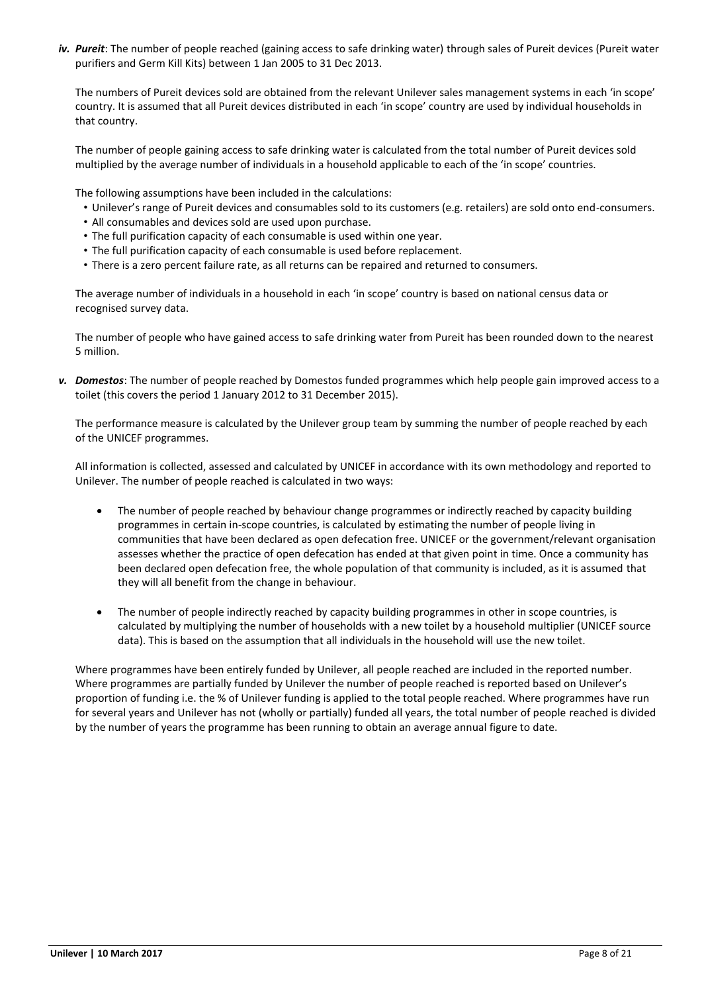*iv. Pureit*: The number of people reached (gaining access to safe drinking water) through sales of Pureit devices (Pureit water purifiers and Germ Kill Kits) between 1 Jan 2005 to 31 Dec 2013.

The numbers of Pureit devices sold are obtained from the relevant Unilever sales management systems in each 'in scope' country. It is assumed that all Pureit devices distributed in each 'in scope' country are used by individual households in that country.

The number of people gaining access to safe drinking water is calculated from the total number of Pureit devices sold multiplied by the average number of individuals in a household applicable to each of the 'in scope' countries.

The following assumptions have been included in the calculations:

- Unilever's range of Pureit devices and consumables sold to its customers (e.g. retailers) are sold onto end-consumers.
- All consumables and devices sold are used upon purchase.
- The full purification capacity of each consumable is used within one year.
- The full purification capacity of each consumable is used before replacement.
- There is a zero percent failure rate, as all returns can be repaired and returned to consumers.

The average number of individuals in a household in each 'in scope' country is based on national census data or recognised survey data.

The number of people who have gained access to safe drinking water from Pureit has been rounded down to the nearest 5 million.

*v. Domestos*: The number of people reached by Domestos funded programmes which help people gain improved access to a toilet (this covers the period 1 January 2012 to 31 December 2015).

The performance measure is calculated by the Unilever group team by summing the number of people reached by each of the UNICEF programmes.

All information is collected, assessed and calculated by UNICEF in accordance with its own methodology and reported to Unilever. The number of people reached is calculated in two ways:

- The number of people reached by behaviour change programmes or indirectly reached by capacity building programmes in certain in-scope countries, is calculated by estimating the number of people living in communities that have been declared as open defecation free. UNICEF or the government/relevant organisation assesses whether the practice of open defecation has ended at that given point in time. Once a community has been declared open defecation free, the whole population of that community is included, as it is assumed that they will all benefit from the change in behaviour.
- The number of people indirectly reached by capacity building programmes in other in scope countries, is calculated by multiplying the number of households with a new toilet by a household multiplier (UNICEF source data). This is based on the assumption that all individuals in the household will use the new toilet.

Where programmes have been entirely funded by Unilever, all people reached are included in the reported number. Where programmes are partially funded by Unilever the number of people reached is reported based on Unilever's proportion of funding i.e. the % of Unilever funding is applied to the total people reached. Where programmes have run for several years and Unilever has not (wholly or partially) funded all years, the total number of people reached is divided by the number of years the programme has been running to obtain an average annual figure to date.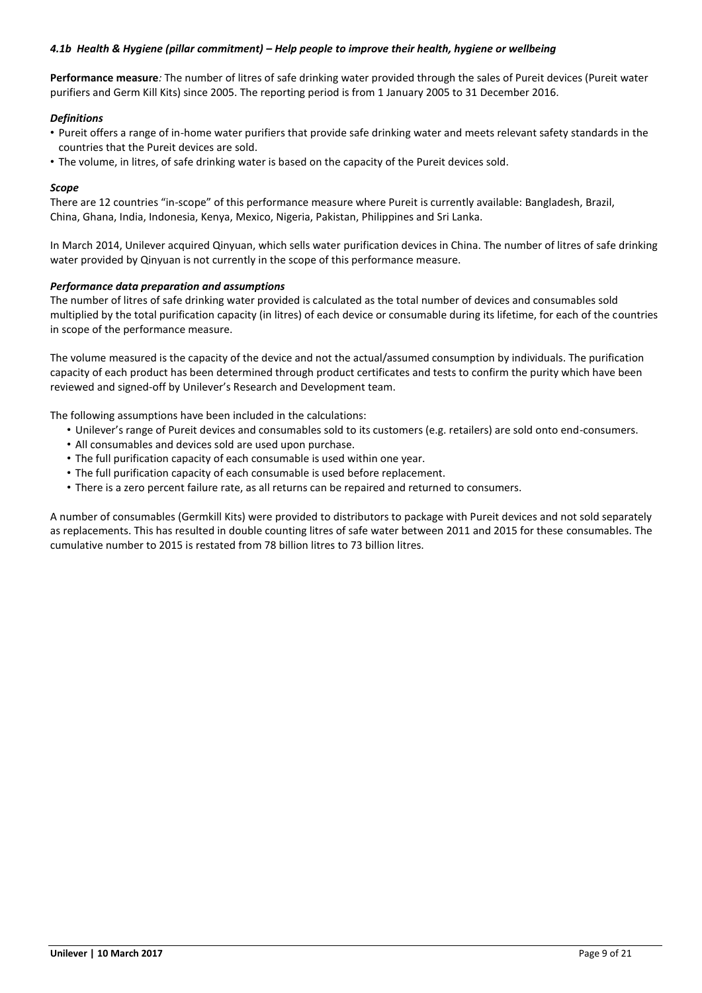# *4.1b Health & Hygiene (pillar commitment) – Help people to improve their health, hygiene or wellbeing*

**Performance measure***:* The number of litres of safe drinking water provided through the sales of Pureit devices (Pureit water purifiers and Germ Kill Kits) since 2005. The reporting period is from 1 January 2005 to 31 December 2016.

### *Definitions*

- Pureit offers a range of in-home water purifiers that provide safe drinking water and meets relevant safety standards in the countries that the Pureit devices are sold.
- The volume, in litres, of safe drinking water is based on the capacity of the Pureit devices sold.

### *Scope*

There are 12 countries "in-scope" of this performance measure where Pureit is currently available: Bangladesh, Brazil, China, Ghana, India, Indonesia, Kenya, Mexico, Nigeria, Pakistan, Philippines and Sri Lanka.

In March 2014, Unilever acquired Qinyuan, which sells water purification devices in China. The number of litres of safe drinking water provided by Qinyuan is not currently in the scope of this performance measure.

### *Performance data preparation and assumptions*

The number of litres of safe drinking water provided is calculated as the total number of devices and consumables sold multiplied by the total purification capacity (in litres) of each device or consumable during its lifetime, for each of the countries in scope of the performance measure.

The volume measured is the capacity of the device and not the actual/assumed consumption by individuals. The purification capacity of each product has been determined through product certificates and tests to confirm the purity which have been reviewed and signed-off by Unilever's Research and Development team.

The following assumptions have been included in the calculations:

- Unilever's range of Pureit devices and consumables sold to its customers (e.g. retailers) are sold onto end-consumers.
- All consumables and devices sold are used upon purchase.
- The full purification capacity of each consumable is used within one year.
- The full purification capacity of each consumable is used before replacement.
- There is a zero percent failure rate, as all returns can be repaired and returned to consumers.

A number of consumables (Germkill Kits) were provided to distributors to package with Pureit devices and not sold separately as replacements. This has resulted in double counting litres of safe water between 2011 and 2015 for these consumables. The cumulative number to 2015 is restated from 78 billion litres to 73 billion litres.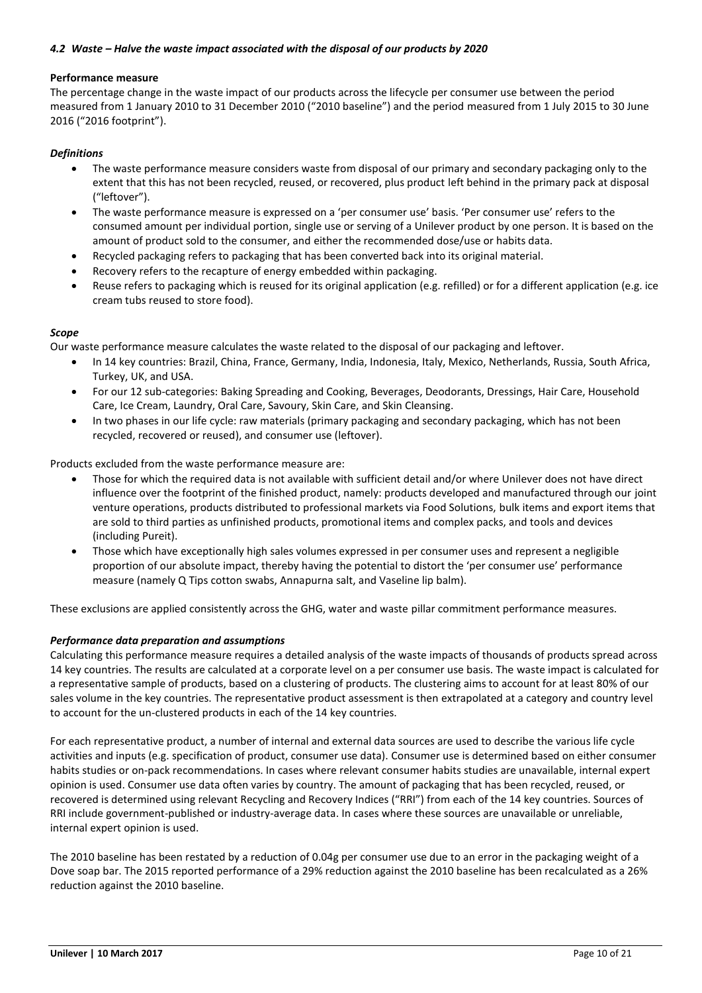# *4.2 Waste – Halve the waste impact associated with the disposal of our products by 2020*

### **Performance measure**

The percentage change in the waste impact of our products across the lifecycle per consumer use between the period measured from 1 January 2010 to 31 December 2010 ("2010 baseline") and the period measured from 1 July 2015 to 30 June 2016 ("2016 footprint").

### *Definitions*

- The waste performance measure considers waste from disposal of our primary and secondary packaging only to the extent that this has not been recycled, reused, or recovered, plus product left behind in the primary pack at disposal ("leftover").
- The waste performance measure is expressed on a 'per consumer use' basis. 'Per consumer use' refers to the consumed amount per individual portion, single use or serving of a Unilever product by one person. It is based on the amount of product sold to the consumer, and either the recommended dose/use or habits data.
- Recycled packaging refers to packaging that has been converted back into its original material.
- Recovery refers to the recapture of energy embedded within packaging.
- Reuse refers to packaging which is reused for its original application (e.g. refilled) or for a different application (e.g. ice cream tubs reused to store food).

### *Scope*

Our waste performance measure calculates the waste related to the disposal of our packaging and leftover.

- In 14 key countries: Brazil, China, France, Germany, India, Indonesia, Italy, Mexico, Netherlands, Russia, South Africa, Turkey, UK, and USA.
- For our 12 sub-categories: Baking Spreading and Cooking, Beverages, Deodorants, Dressings, Hair Care, Household Care, Ice Cream, Laundry, Oral Care, Savoury, Skin Care, and Skin Cleansing.
- In two phases in our life cycle: raw materials (primary packaging and secondary packaging, which has not been recycled, recovered or reused), and consumer use (leftover).

Products excluded from the waste performance measure are:

- Those for which the required data is not available with sufficient detail and/or where Unilever does not have direct influence over the footprint of the finished product, namely: products developed and manufactured through our joint venture operations, products distributed to professional markets via Food Solutions, bulk items and export items that are sold to third parties as unfinished products, promotional items and complex packs, and tools and devices (including Pureit).
- Those which have exceptionally high sales volumes expressed in per consumer uses and represent a negligible proportion of our absolute impact, thereby having the potential to distort the 'per consumer use' performance measure (namely Q Tips cotton swabs, Annapurna salt, and Vaseline lip balm).

These exclusions are applied consistently across the GHG, water and waste pillar commitment performance measures.

### *Performance data preparation and assumptions*

Calculating this performance measure requires a detailed analysis of the waste impacts of thousands of products spread across 14 key countries. The results are calculated at a corporate level on a per consumer use basis. The waste impact is calculated for a representative sample of products, based on a clustering of products. The clustering aims to account for at least 80% of our sales volume in the key countries. The representative product assessment is then extrapolated at a category and country level to account for the un-clustered products in each of the 14 key countries.

For each representative product, a number of internal and external data sources are used to describe the various life cycle activities and inputs (e.g. specification of product, consumer use data). Consumer use is determined based on either consumer habits studies or on-pack recommendations. In cases where relevant consumer habits studies are unavailable, internal expert opinion is used. Consumer use data often varies by country. The amount of packaging that has been recycled, reused, or recovered is determined using relevant Recycling and Recovery Indices ("RRI") from each of the 14 key countries. Sources of RRI include government-published or industry-average data. In cases where these sources are unavailable or unreliable, internal expert opinion is used.

The 2010 baseline has been restated by a reduction of 0.04g per consumer use due to an error in the packaging weight of a Dove soap bar. The 2015 reported performance of a 29% reduction against the 2010 baseline has been recalculated as a 26% reduction against the 2010 baseline.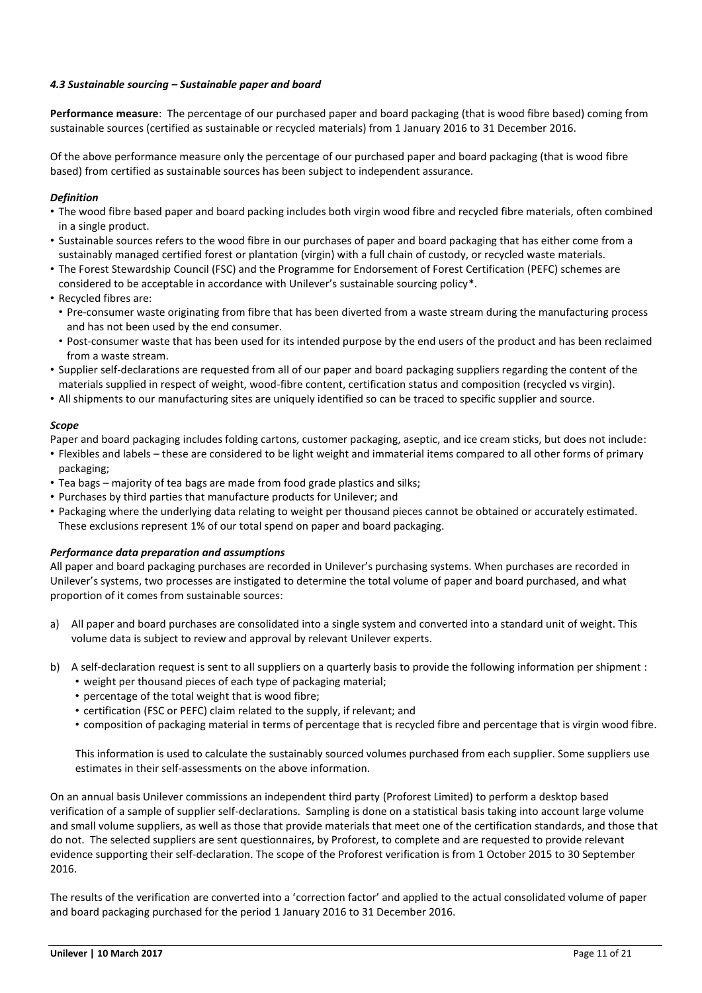# *4.3 Sustainable sourcing – Sustainable paper and board*

**Performance measure**: The percentage of our purchased paper and board packaging (that is wood fibre based) coming from sustainable sources (certified as sustainable or recycled materials) from 1 January 2016 to 31 December 2016.

Of the above performance measure only the percentage of our purchased paper and board packaging (that is wood fibre based) from certified as sustainable sources has been subject to independent assurance.

# *Definition*

- The wood fibre based paper and board packing includes both virgin wood fibre and recycled fibre materials, often combined in a single product.
- Sustainable sources refers to the wood fibre in our purchases of paper and board packaging that has either come from a sustainably managed certified forest or plantation (virgin) with a full chain of custody, or recycled waste materials.
- The Forest Stewardship Council (FSC) and the Programme for Endorsement of Forest Certification (PEFC) schemes are considered to be acceptable in accordance with Unilever's sustainable sourcing policy\*.
- Recycled fibres are:
	- Pre-consumer waste originating from fibre that has been diverted from a waste stream during the manufacturing process and has not been used by the end consumer.
	- Post-consumer waste that has been used for its intended purpose by the end users of the product and has been reclaimed from a waste stream.
- Supplier self-declarations are requested from all of our paper and board packaging suppliers regarding the content of the materials supplied in respect of weight, wood-fibre content, certification status and composition (recycled vs virgin).
- All shipments to our manufacturing sites are uniquely identified so can be traced to specific supplier and source.

### *Scope*

Paper and board packaging includes folding cartons, customer packaging, aseptic, and ice cream sticks, but does not include:

- Flexibles and labels these are considered to be light weight and immaterial items compared to all other forms of primary packaging;
- Tea bags majority of tea bags are made from food grade plastics and silks;
- Purchases by third parties that manufacture products for Unilever; and
- Packaging where the underlying data relating to weight per thousand pieces cannot be obtained or accurately estimated. These exclusions represent 1% of our total spend on paper and board packaging.

### *Performance data preparation and assumptions*

All paper and board packaging purchases are recorded in Unilever's purchasing systems. When purchases are recorded in Unilever's systems, two processes are instigated to determine the total volume of paper and board purchased, and what proportion of it comes from sustainable sources:

- a) All paper and board purchases are consolidated into a single system and converted into a standard unit of weight. This volume data is subject to review and approval by relevant Unilever experts.
- b) A self-declaration request is sent to all suppliers on a quarterly basis to provide the following information per shipment :
	- weight per thousand pieces of each type of packaging material;
	- percentage of the total weight that is wood fibre;
	- certification (FSC or PEFC) claim related to the supply, if relevant; and
	- composition of packaging material in terms of percentage that is recycled fibre and percentage that is virgin wood fibre.

This information is used to calculate the sustainably sourced volumes purchased from each supplier. Some suppliers use estimates in their self-assessments on the above information.

On an annual basis Unilever commissions an independent third party (Proforest Limited) to perform a desktop based verification of a sample of supplier self-declarations. Sampling is done on a statistical basis taking into account large volume and small volume suppliers, as well as those that provide materials that meet one of the certification standards, and those that do not. The selected suppliers are sent questionnaires, by Proforest, to complete and are requested to provide relevant evidence supporting their self-declaration. The scope of the Proforest verification is from 1 October 2015 to 30 September 2016.

The results of the verification are converted into a 'correction factor' and applied to the actual consolidated volume of paper and board packaging purchased for the period 1 January 2016 to 31 December 2016.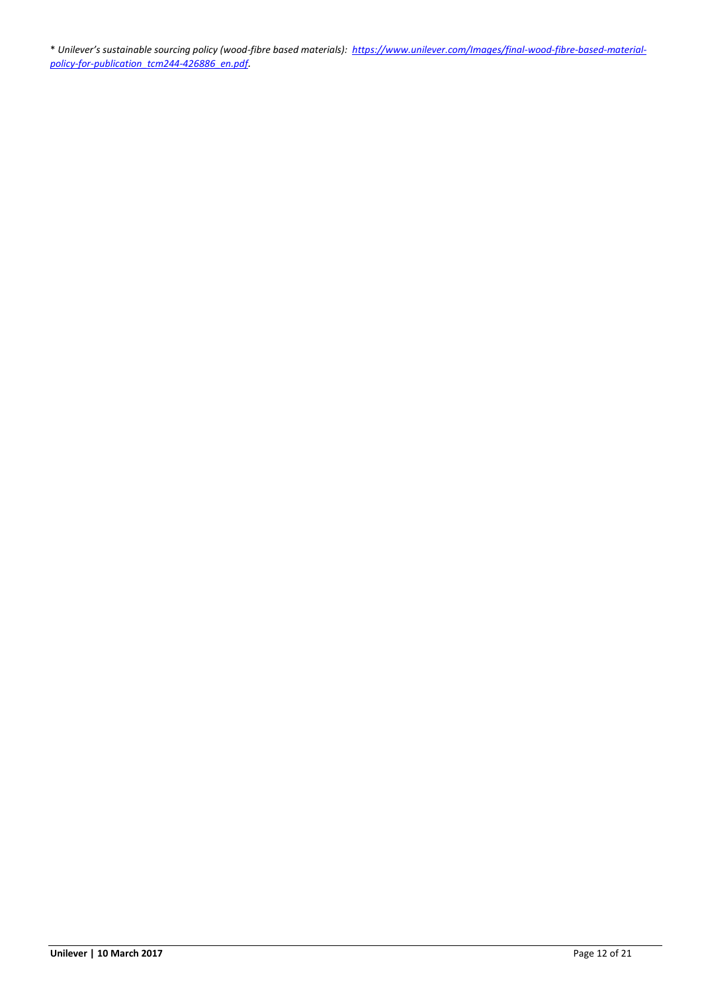\* *Unilever's sustainable sourcing policy (wood-fibre based materials): [https://www.unilever.com/Images/final-wood-fibre-based-material](https://www.unilever.com/Images/final-wood-fibre-based-material-policy-for-publication_tcm244-426886_en.pdf)[policy-for-publication\\_tcm244-426886\\_en.pdf](https://www.unilever.com/Images/final-wood-fibre-based-material-policy-for-publication_tcm244-426886_en.pdf).*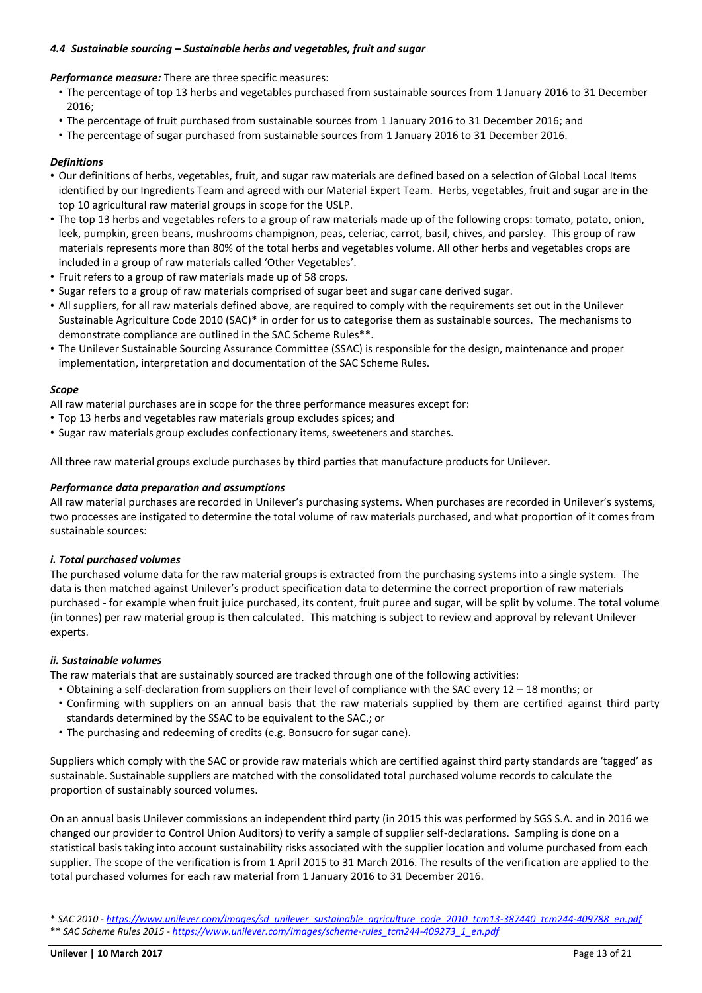### *4.4 Sustainable sourcing – Sustainable herbs and vegetables, fruit and sugar*

*Performance measure:* There are three specific measures:

- The percentage of top 13 herbs and vegetables purchased from sustainable sources from 1 January 2016 to 31 December  $2016$
- The percentage of fruit purchased from sustainable sources from 1 January 2016 to 31 December 2016; and
- The percentage of sugar purchased from sustainable sources from 1 January 2016 to 31 December 2016.

### *Definitions*

- Our definitions of herbs, vegetables, fruit, and sugar raw materials are defined based on a selection of Global Local Items identified by our Ingredients Team and agreed with our Material Expert Team. Herbs, vegetables, fruit and sugar are in the top 10 agricultural raw material groups in scope for the USLP.
- The top 13 herbs and vegetables refers to a group of raw materials made up of the following crops: tomato, potato, onion, leek, pumpkin, green beans, mushrooms champignon, peas, celeriac, carrot, basil, chives, and parsley. This group of raw materials represents more than 80% of the total herbs and vegetables volume. All other herbs and vegetables crops are included in a group of raw materials called 'Other Vegetables'.
- Fruit refers to a group of raw materials made up of 58 crops.
- Sugar refers to a group of raw materials comprised of sugar beet and sugar cane derived sugar.
- All suppliers, for all raw materials defined above, are required to comply with the requirements set out in the Unilever Sustainable Agriculture Code 2010 (SAC)\* in order for us to categorise them as sustainable sources. The mechanisms to demonstrate compliance are outlined in the SAC Scheme Rules\*\*.
- The Unilever Sustainable Sourcing Assurance Committee (SSAC) is responsible for the design, maintenance and proper implementation, interpretation and documentation of the SAC Scheme Rules.

### *Scope*

All raw material purchases are in scope for the three performance measures except for:

- Top 13 herbs and vegetables raw materials group excludes spices; and
- Sugar raw materials group excludes confectionary items, sweeteners and starches.

All three raw material groups exclude purchases by third parties that manufacture products for Unilever.

### *Performance data preparation and assumptions*

All raw material purchases are recorded in Unilever's purchasing systems. When purchases are recorded in Unilever's systems, two processes are instigated to determine the total volume of raw materials purchased, and what proportion of it comes from sustainable sources:

### *i. Total purchased volumes*

The purchased volume data for the raw material groups is extracted from the purchasing systems into a single system. The data is then matched against Unilever's product specification data to determine the correct proportion of raw materials purchased - for example when fruit juice purchased, its content, fruit puree and sugar, will be split by volume. The total volume (in tonnes) per raw material group is then calculated. This matching is subject to review and approval by relevant Unilever experts.

### *ii. Sustainable volumes*

The raw materials that are sustainably sourced are tracked through one of the following activities:

- Obtaining a self-declaration from suppliers on their level of compliance with the SAC every 12 18 months; or
- Confirming with suppliers on an annual basis that the raw materials supplied by them are certified against third party standards determined by the SSAC to be equivalent to the SAC.; or
- The purchasing and redeeming of credits (e.g. Bonsucro for sugar cane).

Suppliers which comply with the SAC or provide raw materials which are certified against third party standards are 'tagged' as sustainable. Sustainable suppliers are matched with the consolidated total purchased volume records to calculate the proportion of sustainably sourced volumes.

On an annual basis Unilever commissions an independent third party (in 2015 this was performed by SGS S.A. and in 2016 we changed our provider to Control Union Auditors) to verify a sample of supplier self-declarations. Sampling is done on a statistical basis taking into account sustainability risks associated with the supplier location and volume purchased from each supplier. The scope of the verification is from 1 April 2015 to 31 March 2016. The results of the verification are applied to the total purchased volumes for each raw material from 1 January 2016 to 31 December 2016.

<sup>\*</sup> *SAC 2010 - [https://www.unilever.com/Images/sd\\_unilever\\_sustainable\\_agriculture\\_code\\_2010\\_tcm13-387440\\_tcm244-409788\\_en.pdf](https://www.unilever.com/Images/sd_unilever_sustainable_agriculture_code_2010_tcm13-387440_tcm244-409788_en.pdf)* \*\* *SAC Scheme Rules 2015 - [https://www.unilever.com/Images/scheme-rules\\_tcm244-409273\\_1\\_en.pdf](https://www.unilever.com/Images/scheme-rules_tcm244-409273_1_en.pdf)*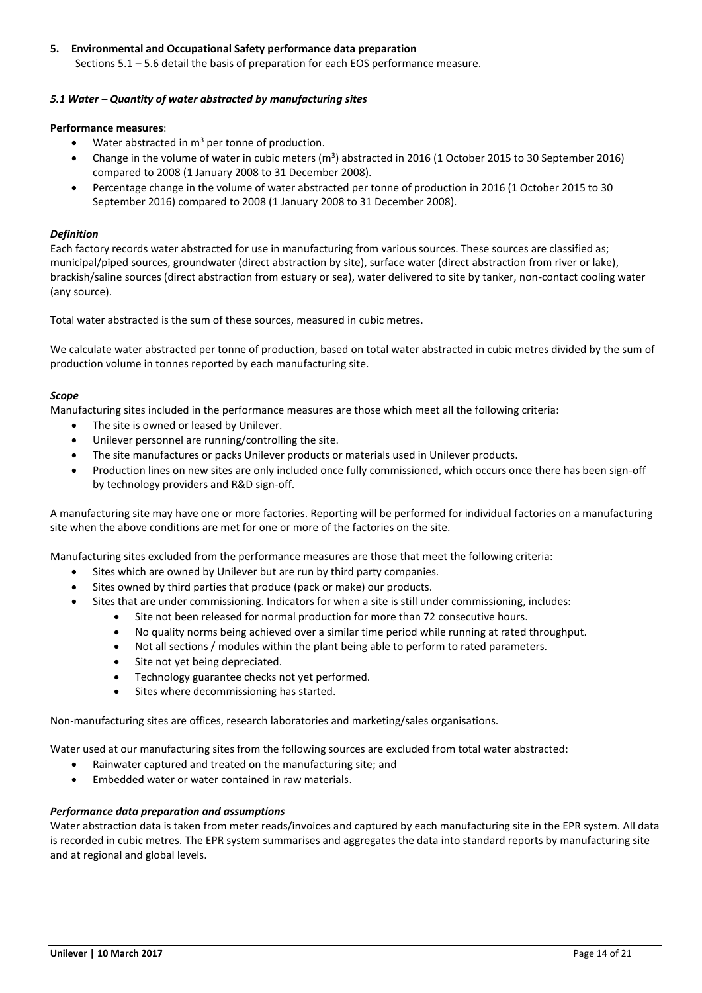# **5. Environmental and Occupational Safety performance data preparation** Sections 5.1 – 5.6 detail the basis of preparation for each EOS performance measure.

# *5.1 Water – Quantity of water abstracted by manufacturing sites*

### **Performance measures**:

- Water abstracted in  $m<sup>3</sup>$  per tonne of production.
- Change in the volume of water in cubic meters  $(m^3)$  abstracted in 2016 (1 October 2015 to 30 September 2016) compared to 2008 (1 January 2008 to 31 December 2008).
- Percentage change in the volume of water abstracted per tonne of production in 2016 (1 October 2015 to 30 September 2016) compared to 2008 (1 January 2008 to 31 December 2008).

# *Definition*

Each factory records water abstracted for use in manufacturing from various sources. These sources are classified as; municipal/piped sources, groundwater (direct abstraction by site), surface water (direct abstraction from river or lake), brackish/saline sources (direct abstraction from estuary or sea), water delivered to site by tanker, non-contact cooling water (any source).

Total water abstracted is the sum of these sources, measured in cubic metres.

We calculate water abstracted per tonne of production, based on total water abstracted in cubic metres divided by the sum of production volume in tonnes reported by each manufacturing site.

# *Scope*

Manufacturing sites included in the performance measures are those which meet all the following criteria:

- The site is owned or leased by Unilever.
- Unilever personnel are running/controlling the site.
- The site manufactures or packs Unilever products or materials used in Unilever products.
- Production lines on new sites are only included once fully commissioned, which occurs once there has been sign-off by technology providers and R&D sign-off.

A manufacturing site may have one or more factories. Reporting will be performed for individual factories on a manufacturing site when the above conditions are met for one or more of the factories on the site.

Manufacturing sites excluded from the performance measures are those that meet the following criteria:

- Sites which are owned by Unilever but are run by third party companies.
- Sites owned by third parties that produce (pack or make) our products.
- Sites that are under commissioning. Indicators for when a site is still under commissioning, includes:
	- Site not been released for normal production for more than 72 consecutive hours.
	- No quality norms being achieved over a similar time period while running at rated throughput.
	- Not all sections / modules within the plant being able to perform to rated parameters.
	- Site not yet being depreciated.
	- Technology guarantee checks not yet performed.
	- Sites where decommissioning has started.

Non-manufacturing sites are offices, research laboratories and marketing/sales organisations.

Water used at our manufacturing sites from the following sources are excluded from total water abstracted:

- Rainwater captured and treated on the manufacturing site; and
- Embedded water or water contained in raw materials.

# *Performance data preparation and assumptions*

Water abstraction data is taken from meter reads/invoices and captured by each manufacturing site in the EPR system. All data is recorded in cubic metres. The EPR system summarises and aggregates the data into standard reports by manufacturing site and at regional and global levels.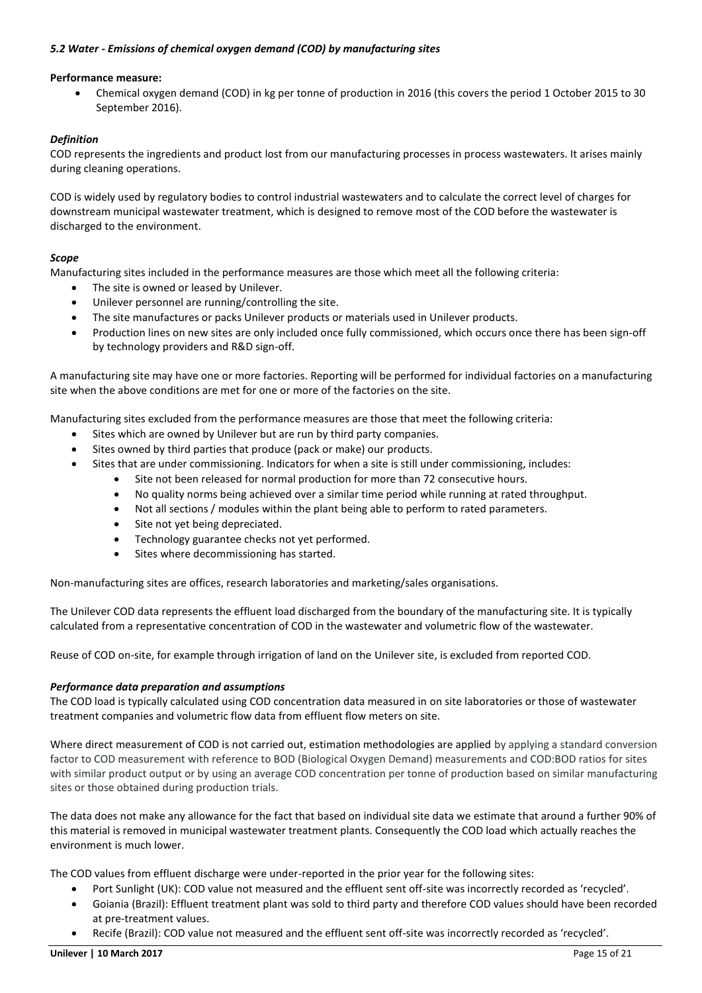# *5.2 Water - Emissions of chemical oxygen demand (COD) by manufacturing sites*

### **Performance measure:**

 Chemical oxygen demand (COD) in kg per tonne of production in 2016 (this covers the period 1 October 2015 to 30 September 2016).

### *Definition*

COD represents the ingredients and product lost from our manufacturing processes in process wastewaters. It arises mainly during cleaning operations.

COD is widely used by regulatory bodies to control industrial wastewaters and to calculate the correct level of charges for downstream municipal wastewater treatment, which is designed to remove most of the COD before the wastewater is discharged to the environment.

### *Scope*

Manufacturing sites included in the performance measures are those which meet all the following criteria:

- The site is owned or leased by Unilever.
- Unilever personnel are running/controlling the site.
- The site manufactures or packs Unilever products or materials used in Unilever products.
- Production lines on new sites are only included once fully commissioned, which occurs once there has been sign-off by technology providers and R&D sign-off.

A manufacturing site may have one or more factories. Reporting will be performed for individual factories on a manufacturing site when the above conditions are met for one or more of the factories on the site.

Manufacturing sites excluded from the performance measures are those that meet the following criteria:

- Sites which are owned by Unilever but are run by third party companies.
- Sites owned by third parties that produce (pack or make) our products.
- Sites that are under commissioning. Indicators for when a site is still under commissioning, includes:
	- Site not been released for normal production for more than 72 consecutive hours.
	- No quality norms being achieved over a similar time period while running at rated throughput.
	- Not all sections / modules within the plant being able to perform to rated parameters.
	- Site not yet being depreciated.
	- Technology guarantee checks not yet performed.
	- Sites where decommissioning has started.

Non-manufacturing sites are offices, research laboratories and marketing/sales organisations.

The Unilever COD data represents the effluent load discharged from the boundary of the manufacturing site. It is typically calculated from a representative concentration of COD in the wastewater and volumetric flow of the wastewater.

Reuse of COD on-site, for example through irrigation of land on the Unilever site, is excluded from reported COD.

### *Performance data preparation and assumptions*

The COD load is typically calculated using COD concentration data measured in on site laboratories or those of wastewater treatment companies and volumetric flow data from effluent flow meters on site.

Where direct measurement of COD is not carried out, estimation methodologies are applied by applying a standard conversion factor to COD measurement with reference to BOD (Biological Oxygen Demand) measurements and COD:BOD ratios for sites with similar product output or by using an average COD concentration per tonne of production based on similar manufacturing sites or those obtained during production trials.

The data does not make any allowance for the fact that based on individual site data we estimate that around a further 90% of this material is removed in municipal wastewater treatment plants. Consequently the COD load which actually reaches the environment is much lower.

The COD values from effluent discharge were under-reported in the prior year for the following sites:

- Port Sunlight (UK): COD value not measured and the effluent sent off-site was incorrectly recorded as 'recycled'.
- Goiania (Brazil): Effluent treatment plant was sold to third party and therefore COD values should have been recorded at pre-treatment values.
- Recife (Brazil): COD value not measured and the effluent sent off-site was incorrectly recorded as 'recycled'.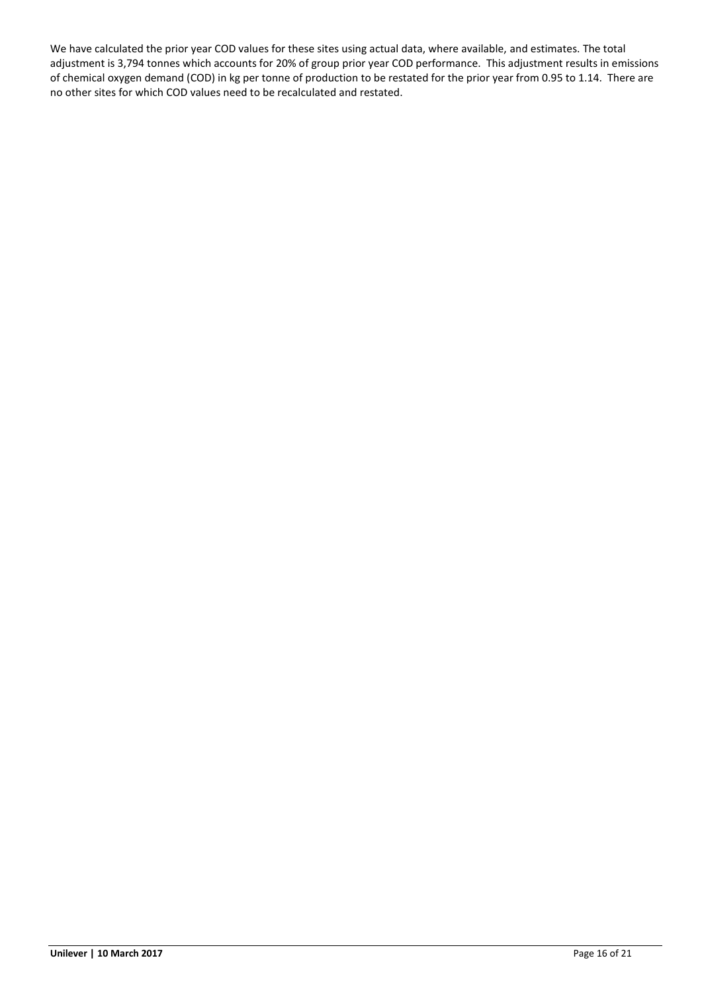We have calculated the prior year COD values for these sites using actual data, where available, and estimates. The total adjustment is 3,794 tonnes which accounts for 20% of group prior year COD performance. This adjustment results in emissions of chemical oxygen demand (COD) in kg per tonne of production to be restated for the prior year from 0.95 to 1.14. There are no other sites for which COD values need to be recalculated and restated.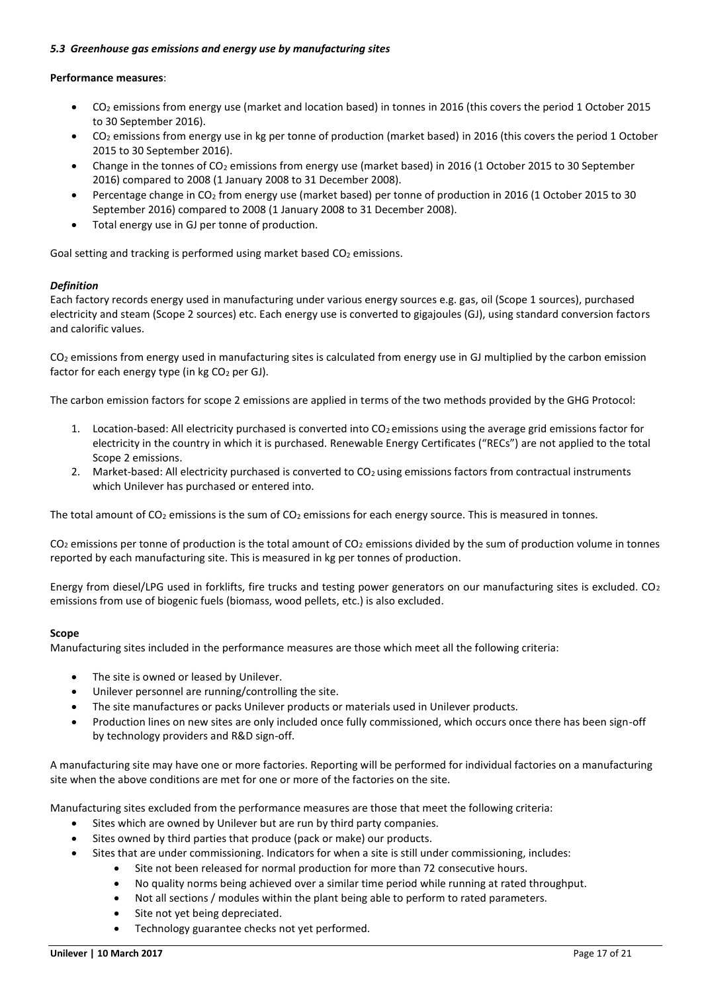### *5.3 Greenhouse gas emissions and energy use by manufacturing sites*

### **Performance measures**:

- CO<sup>2</sup> emissions from energy use (market and location based) in tonnes in 2016 (this covers the period 1 October 2015 to 30 September 2016).
- $CO<sub>2</sub>$  emissions from energy use in kg per tonne of production (market based) in 2016 (this covers the period 1 October 2015 to 30 September 2016).
- Change in the tonnes of CO<sup>2</sup> emissions from energy use (market based) in 2016 (1 October 2015 to 30 September 2016) compared to 2008 (1 January 2008 to 31 December 2008).
- Percentage change in CO<sub>2</sub> from energy use (market based) per tonne of production in 2016 (1 October 2015 to 30 September 2016) compared to 2008 (1 January 2008 to 31 December 2008).
- Total energy use in GJ per tonne of production.

Goal setting and tracking is performed using market based  $CO<sub>2</sub>$  emissions.

# *Definition*

Each factory records energy used in manufacturing under various energy sources e.g. gas, oil (Scope 1 sources), purchased electricity and steam (Scope 2 sources) etc. Each energy use is converted to gigajoules (GJ), using standard conversion factors and calorific values.

CO<sup>2</sup> emissions from energy used in manufacturing sites is calculated from energy use in GJ multiplied by the carbon emission factor for each energy type (in  $kg CO<sub>2</sub>$  per GJ).

The carbon emission factors for scope 2 emissions are applied in terms of the two methods provided by the GHG Protocol:

- 1. Location-based: All electricity purchased is converted into  $CO<sub>2</sub>$  emissions using the average grid emissions factor for electricity in the country in which it is purchased. Renewable Energy Certificates ("RECs") are not applied to the total Scope 2 emissions.
- 2. Market-based: All electricity purchased is converted to CO<sub>2</sub> using emissions factors from contractual instruments which Unilever has purchased or entered into.

The total amount of  $CO_2$  emissions is the sum of  $CO_2$  emissions for each energy source. This is measured in tonnes.

 $CO<sub>2</sub>$  emissions per tonne of production is the total amount of  $CO<sub>2</sub>$  emissions divided by the sum of production volume in tonnes reported by each manufacturing site. This is measured in kg per tonnes of production.

Energy from diesel/LPG used in forklifts, fire trucks and testing power generators on our manufacturing sites is excluded. CO<sup>2</sup> emissions from use of biogenic fuels (biomass, wood pellets, etc.) is also excluded.

### **Scope**

Manufacturing sites included in the performance measures are those which meet all the following criteria:

- The site is owned or leased by Unilever.
- Unilever personnel are running/controlling the site.
- The site manufactures or packs Unilever products or materials used in Unilever products.
- Production lines on new sites are only included once fully commissioned, which occurs once there has been sign-off by technology providers and R&D sign-off.

A manufacturing site may have one or more factories. Reporting will be performed for individual factories on a manufacturing site when the above conditions are met for one or more of the factories on the site.

Manufacturing sites excluded from the performance measures are those that meet the following criteria:

- Sites which are owned by Unilever but are run by third party companies.
- Sites owned by third parties that produce (pack or make) our products.
- Sites that are under commissioning. Indicators for when a site is still under commissioning, includes:
	- Site not been released for normal production for more than 72 consecutive hours.
	- No quality norms being achieved over a similar time period while running at rated throughput.
	- Not all sections / modules within the plant being able to perform to rated parameters.
	- Site not yet being depreciated.
	- Technology guarantee checks not yet performed.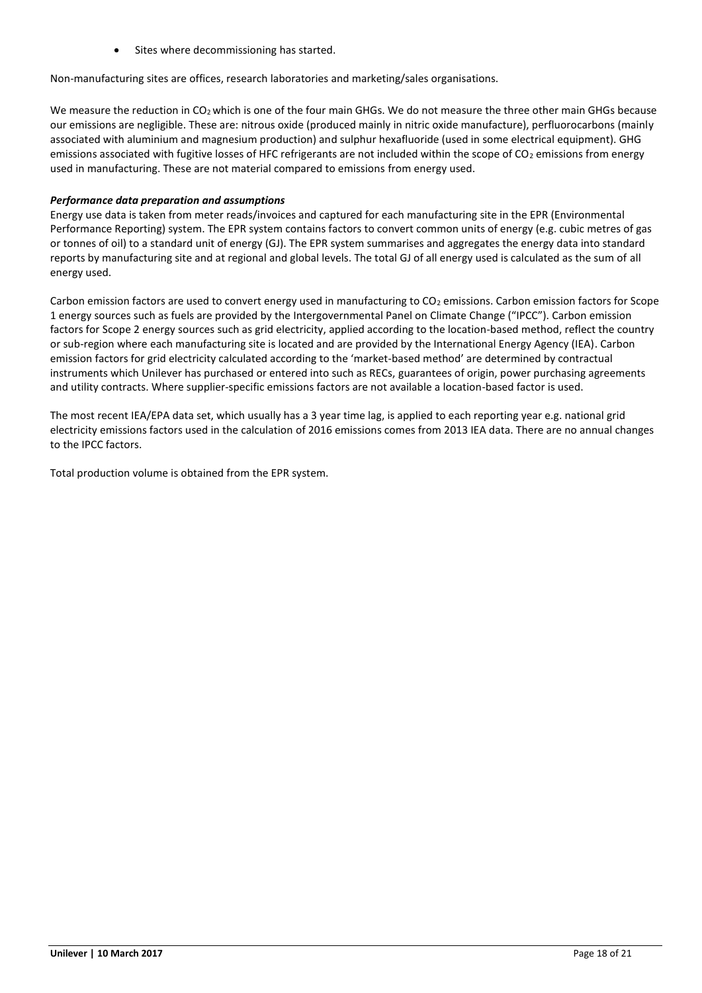Sites where decommissioning has started.

Non-manufacturing sites are offices, research laboratories and marketing/sales organisations.

We measure the reduction in CO<sub>2</sub> which is one of the four main GHGs. We do not measure the three other main GHGs because our emissions are negligible. These are: nitrous oxide (produced mainly in nitric oxide manufacture), perfluorocarbons (mainly associated with aluminium and magnesium production) and sulphur hexafluoride (used in some electrical equipment). GHG emissions associated with fugitive losses of HFC refrigerants are not included within the scope of  $CO<sub>2</sub>$  emissions from energy used in manufacturing. These are not material compared to emissions from energy used.

# *Performance data preparation and assumptions*

Energy use data is taken from meter reads/invoices and captured for each manufacturing site in the EPR (Environmental Performance Reporting) system. The EPR system contains factors to convert common units of energy (e.g. cubic metres of gas or tonnes of oil) to a standard unit of energy (GJ). The EPR system summarises and aggregates the energy data into standard reports by manufacturing site and at regional and global levels. The total GJ of all energy used is calculated as the sum of all energy used.

Carbon emission factors are used to convert energy used in manufacturing to  $CO<sub>2</sub>$  emissions. Carbon emission factors for Scope 1 energy sources such as fuels are provided by the Intergovernmental Panel on Climate Change ("IPCC"). Carbon emission factors for Scope 2 energy sources such as grid electricity, applied according to the location-based method, reflect the country or sub-region where each manufacturing site is located and are provided by the International Energy Agency (IEA). Carbon emission factors for grid electricity calculated according to the 'market-based method' are determined by contractual instruments which Unilever has purchased or entered into such as RECs, guarantees of origin, power purchasing agreements and utility contracts. Where supplier-specific emissions factors are not available a location-based factor is used.

The most recent IEA/EPA data set, which usually has a 3 year time lag, is applied to each reporting year e.g. national grid electricity emissions factors used in the calculation of 2016 emissions comes from 2013 IEA data. There are no annual changes to the IPCC factors.

Total production volume is obtained from the EPR system.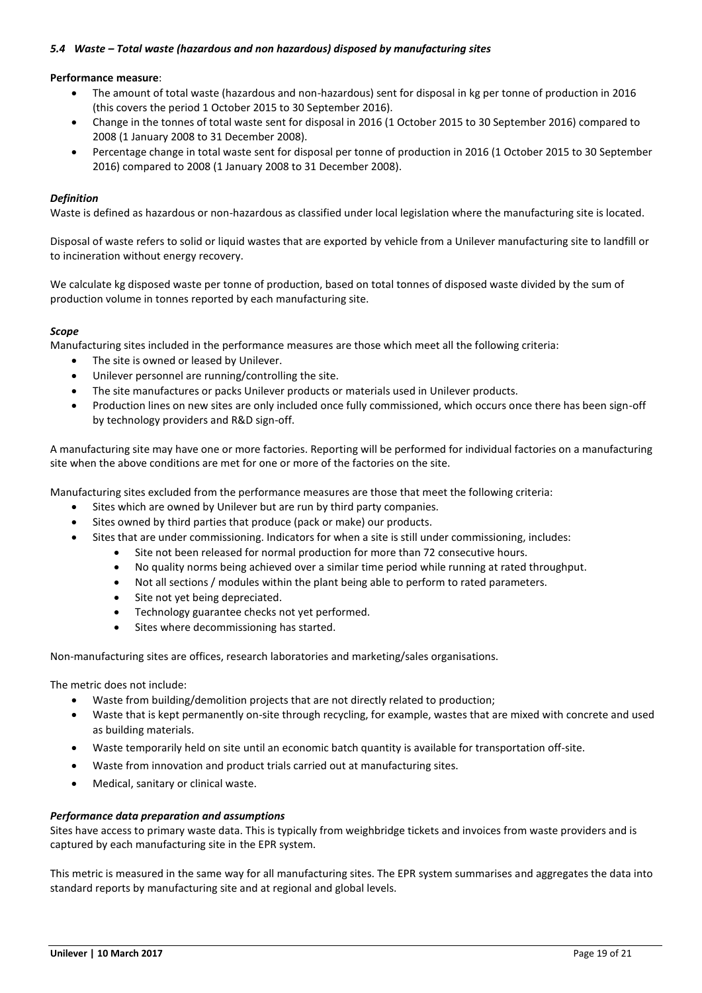### *5.4 Waste – Total waste (hazardous and non hazardous) disposed by manufacturing sites*

### **Performance measure**:

- The amount of total waste (hazardous and non-hazardous) sent for disposal in kg per tonne of production in 2016 (this covers the period 1 October 2015 to 30 September 2016).
- Change in the tonnes of total waste sent for disposal in 2016 (1 October 2015 to 30 September 2016) compared to 2008 (1 January 2008 to 31 December 2008).
- Percentage change in total waste sent for disposal per tonne of production in 2016 (1 October 2015 to 30 September 2016) compared to 2008 (1 January 2008 to 31 December 2008).

#### *Definition*

Waste is defined as hazardous or non-hazardous as classified under local legislation where the manufacturing site is located.

Disposal of waste refers to solid or liquid wastes that are exported by vehicle from a Unilever manufacturing site to landfill or to incineration without energy recovery.

We calculate kg disposed waste per tonne of production, based on total tonnes of disposed waste divided by the sum of production volume in tonnes reported by each manufacturing site.

#### *Scope*

Manufacturing sites included in the performance measures are those which meet all the following criteria:

- The site is owned or leased by Unilever.
- Unilever personnel are running/controlling the site.
- The site manufactures or packs Unilever products or materials used in Unilever products.
- Production lines on new sites are only included once fully commissioned, which occurs once there has been sign-off by technology providers and R&D sign-off.

A manufacturing site may have one or more factories. Reporting will be performed for individual factories on a manufacturing site when the above conditions are met for one or more of the factories on the site.

Manufacturing sites excluded from the performance measures are those that meet the following criteria:

- Sites which are owned by Unilever but are run by third party companies.
- Sites owned by third parties that produce (pack or make) our products.
- Sites that are under commissioning. Indicators for when a site is still under commissioning, includes:
	- Site not been released for normal production for more than 72 consecutive hours.
	- No quality norms being achieved over a similar time period while running at rated throughput.
	- Not all sections / modules within the plant being able to perform to rated parameters.
	- Site not yet being depreciated.
	- Technology guarantee checks not yet performed.
	- Sites where decommissioning has started.

Non-manufacturing sites are offices, research laboratories and marketing/sales organisations.

The metric does not include:

- Waste from building/demolition projects that are not directly related to production;
- Waste that is kept permanently on-site through recycling, for example, wastes that are mixed with concrete and used as building materials.
- Waste temporarily held on site until an economic batch quantity is available for transportation off-site.
- Waste from innovation and product trials carried out at manufacturing sites.
- Medical, sanitary or clinical waste.

### *Performance data preparation and assumptions*

Sites have access to primary waste data. This is typically from weighbridge tickets and invoices from waste providers and is captured by each manufacturing site in the EPR system.

This metric is measured in the same way for all manufacturing sites. The EPR system summarises and aggregates the data into standard reports by manufacturing site and at regional and global levels.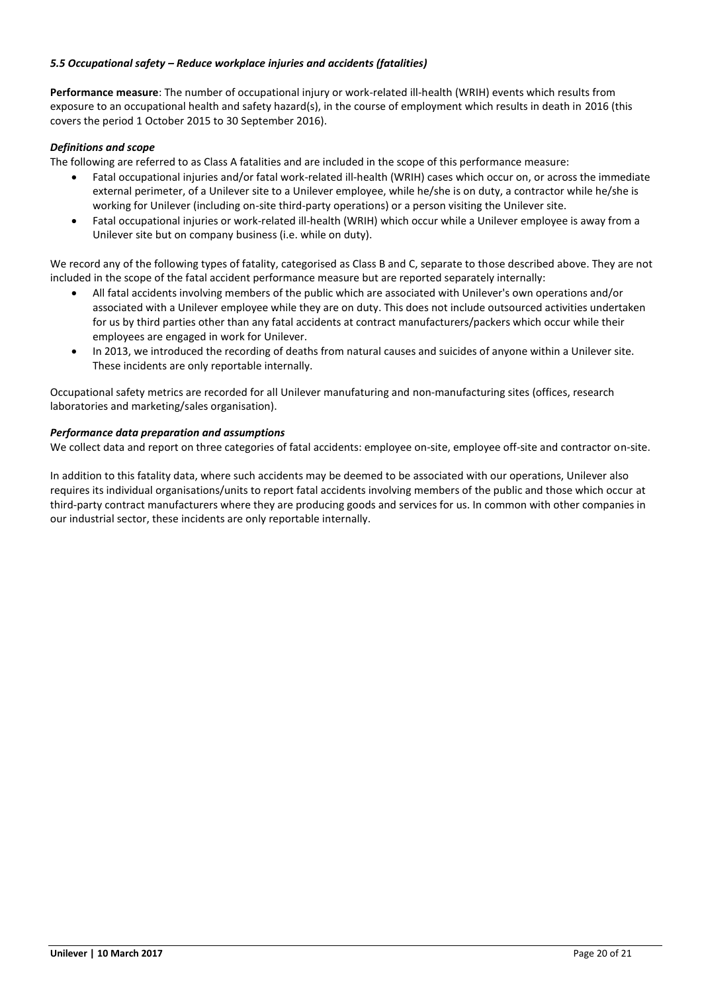# *5.5 Occupational safety – Reduce workplace injuries and accidents (fatalities)*

**Performance measure**: The number of occupational injury or work-related ill-health (WRIH) events which results from exposure to an occupational health and safety hazard(s), in the course of employment which results in death in 2016 (this covers the period 1 October 2015 to 30 September 2016).

### *Definitions and scope*

The following are referred to as Class A fatalities and are included in the scope of this performance measure:

- Fatal occupational injuries and/or fatal work-related ill-health (WRIH) cases which occur on, or across the immediate external perimeter, of a Unilever site to a Unilever employee, while he/she is on duty, a contractor while he/she is working for Unilever (including on-site third-party operations) or a person visiting the Unilever site.
- Fatal occupational injuries or work-related ill-health (WRIH) which occur while a Unilever employee is away from a Unilever site but on company business (i.e. while on duty).

We record any of the following types of fatality, categorised as Class B and C, separate to those described above. They are not included in the scope of the fatal accident performance measure but are reported separately internally:

- All fatal accidents involving members of the public which are associated with Unilever's own operations and/or associated with a Unilever employee while they are on duty. This does not include outsourced activities undertaken for us by third parties other than any fatal accidents at contract manufacturers/packers which occur while their employees are engaged in work for Unilever.
- In 2013, we introduced the recording of deaths from natural causes and suicides of anyone within a Unilever site. These incidents are only reportable internally.

Occupational safety metrics are recorded for all Unilever manufaturing and non-manufacturing sites (offices, research laboratories and marketing/sales organisation).

### *Performance data preparation and assumptions*

We collect data and report on three categories of fatal accidents: employee on-site, employee off-site and contractor on-site.

In addition to this fatality data, where such accidents may be deemed to be associated with our operations, Unilever also requires its individual organisations/units to report fatal accidents involving members of the public and those which occur at third-party contract manufacturers where they are producing goods and services for us. In common with other companies in our industrial sector, these incidents are only reportable internally.